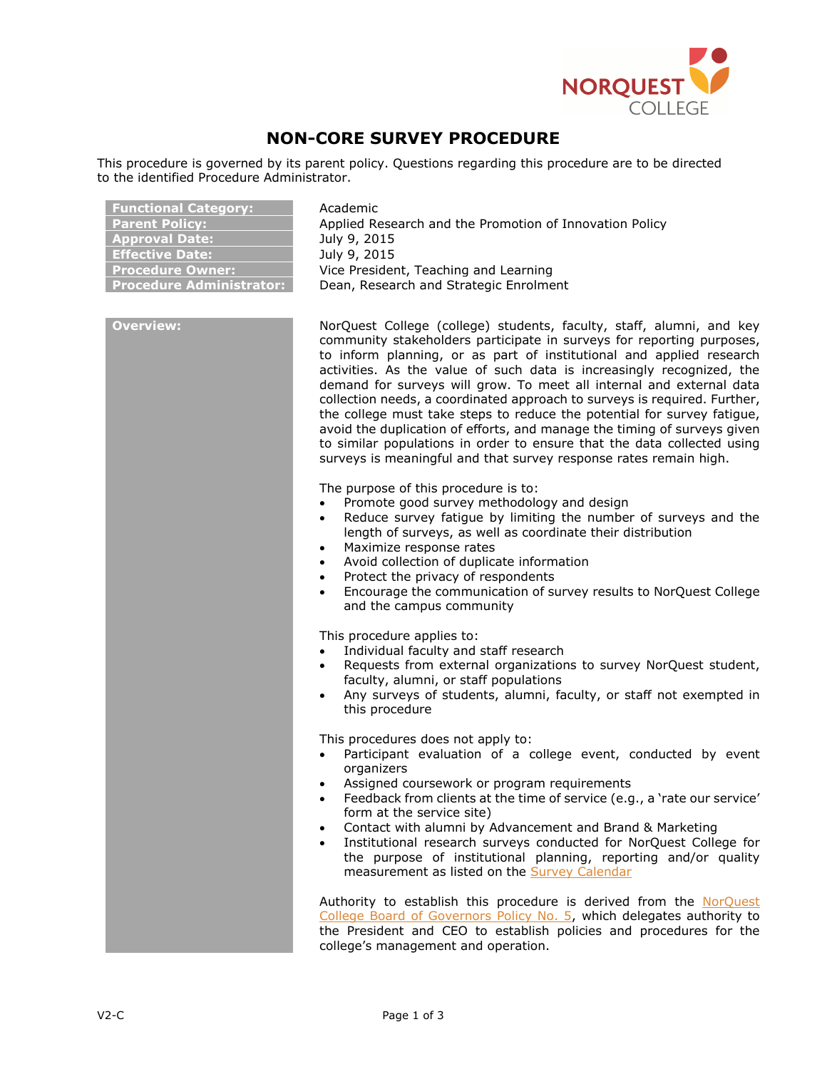

## **NON-CORE SURVEY PROCEDURE**

This procedure is governed by its parent policy. Questions regarding this procedure are to be directed to the identified Procedure Administrator.

| <b>Functional Category:</b>     | Academic                                                |
|---------------------------------|---------------------------------------------------------|
| Parent Policy:                  | Applied Research and the Promotion of Innovation Policy |
| <b>Approval Date:</b>           | July 9, 2015                                            |
| <b>Effective Date:</b>          | July 9, 2015                                            |
| <b>Procedure Owner:</b>         | Vice President, Teaching and Learning                   |
| <b>Procedure Administrator:</b> | Dean, Research and Strategic Enrolment                  |

**Overview:** NorQuest College (college) students, faculty, staff, alumni, and key community stakeholders participate in surveys for reporting purposes, to inform planning, or as part of institutional and applied research activities. As the value of such data is increasingly recognized, the demand for surveys will grow. To meet all internal and external data collection needs, a coordinated approach to surveys is required. Further, the college must take steps to reduce the potential for survey fatigue, avoid the duplication of efforts, and manage the timing of surveys given to similar populations in order to ensure that the data collected using surveys is meaningful and that survey response rates remain high.

The purpose of this procedure is to:

- Promote good survey methodology and design
- Reduce survey fatigue by limiting the number of surveys and the length of surveys, as well as coordinate their distribution
- Maximize response rates
- Avoid collection of duplicate information
- Protect the privacy of respondents
- Encourage the communication of survey results to NorQuest College and the campus community

This procedure applies to:

- Individual faculty and staff research
- Requests from external organizations to survey NorQuest student, faculty, alumni, or staff populations
- Any surveys of students, alumni, faculty, or staff not exempted in this procedure

This procedures does not apply to:

- Participant evaluation of a college event, conducted by event organizers
- Assigned coursework or program requirements
- Feedback from clients at the time of service (e.g., a 'rate our service' form at the service site)
- Contact with alumni by Advancement and Brand & Marketing
- Institutional research surveys conducted for NorQuest College for the purpose of institutional planning, reporting and/or quality measurement as listed on the [Survey Calendar](https://theq.norquest.ca/Departments/ARD/Public-Documents/Research/General/2018-2019-Survey-Calendar.aspx)

Authority to establish this procedure is derived from the [NorQuest](https://www.norquest.ca/NorquestCollege/media/pdf/about-us/board/policies-procedures/05-Board-Policy_Delegate_authority_to_President.pdf)  [College Board of Governors Policy No. 5,](https://www.norquest.ca/NorquestCollege/media/pdf/about-us/board/policies-procedures/05-Board-Policy_Delegate_authority_to_President.pdf) which delegates authority to the President and CEO to establish policies and procedures for the college's management and operation.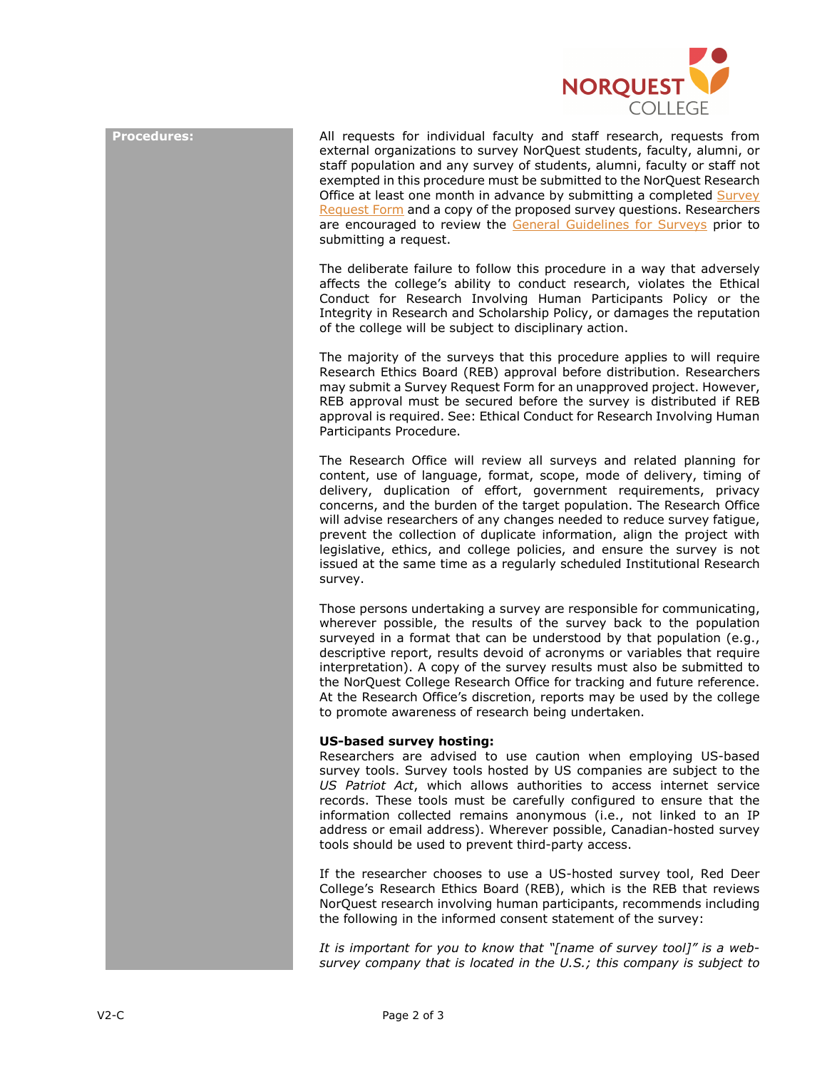

**Procedures:** All requests for individual faculty and staff research, requests from external organizations to survey NorQuest students, faculty, alumni, or staff population and any survey of students, alumni, faculty or staff not exempted in this procedure must be submitted to the NorQuest Research Office at least one month in advance by submitting a completed [Survey](http://theq.norquest.ca/getattachment/fb16b936-aead-4466-b4d3-aaa0e0fb772f/Survey-Request-Form.aspx)  [Request Form](http://theq.norquest.ca/getattachment/fb16b936-aead-4466-b4d3-aaa0e0fb772f/Survey-Request-Form.aspx) and a copy of the proposed survey questions. Researchers are encouraged to review the [General Guidelines for Surveys](http://theq.norquest.ca/getattachment/13f23867-0d32-4d44-b53c-f61730523d3a/General-Guidelines-for-Creating-Surveys.aspx) prior to submitting a request.

> The deliberate failure to follow this procedure in a way that adversely affects the college's ability to conduct research, violates the Ethical Conduct for Research Involving Human Participants Policy or the Integrity in Research and Scholarship Policy, or damages the reputation of the college will be subject to disciplinary action.

> The majority of the surveys that this procedure applies to will require Research Ethics Board (REB) approval before distribution. Researchers may submit a Survey Request Form for an unapproved project. However, REB approval must be secured before the survey is distributed if REB approval is required. See: Ethical Conduct for Research Involving Human Participants Procedure.

> The Research Office will review all surveys and related planning for content, use of language, format, scope, mode of delivery, timing of delivery, duplication of effort, government requirements, privacy concerns, and the burden of the target population. The Research Office will advise researchers of any changes needed to reduce survey fatigue, prevent the collection of duplicate information, align the project with legislative, ethics, and college policies, and ensure the survey is not issued at the same time as a regularly scheduled Institutional Research survey.

> Those persons undertaking a survey are responsible for communicating, wherever possible, the results of the survey back to the population surveyed in a format that can be understood by that population (e.g., descriptive report, results devoid of acronyms or variables that require interpretation). A copy of the survey results must also be submitted to the NorQuest College Research Office for tracking and future reference. At the Research Office's discretion, reports may be used by the college to promote awareness of research being undertaken.

## **US-based survey hosting:**

Researchers are advised to use caution when employing US-based survey tools. Survey tools hosted by US companies are subject to the *US Patriot Act*, which allows authorities to access internet service records. These tools must be carefully configured to ensure that the information collected remains anonymous (i.e., not linked to an IP address or email address). Wherever possible, Canadian-hosted survey tools should be used to prevent third-party access.

If the researcher chooses to use a US-hosted survey tool, Red Deer College's Research Ethics Board (REB), which is the REB that reviews NorQuest research involving human participants, recommends including the following in the informed consent statement of the survey:

*It is important for you to know that "[name of survey tool]" is a websurvey company that is located in the U.S.; this company is subject to*